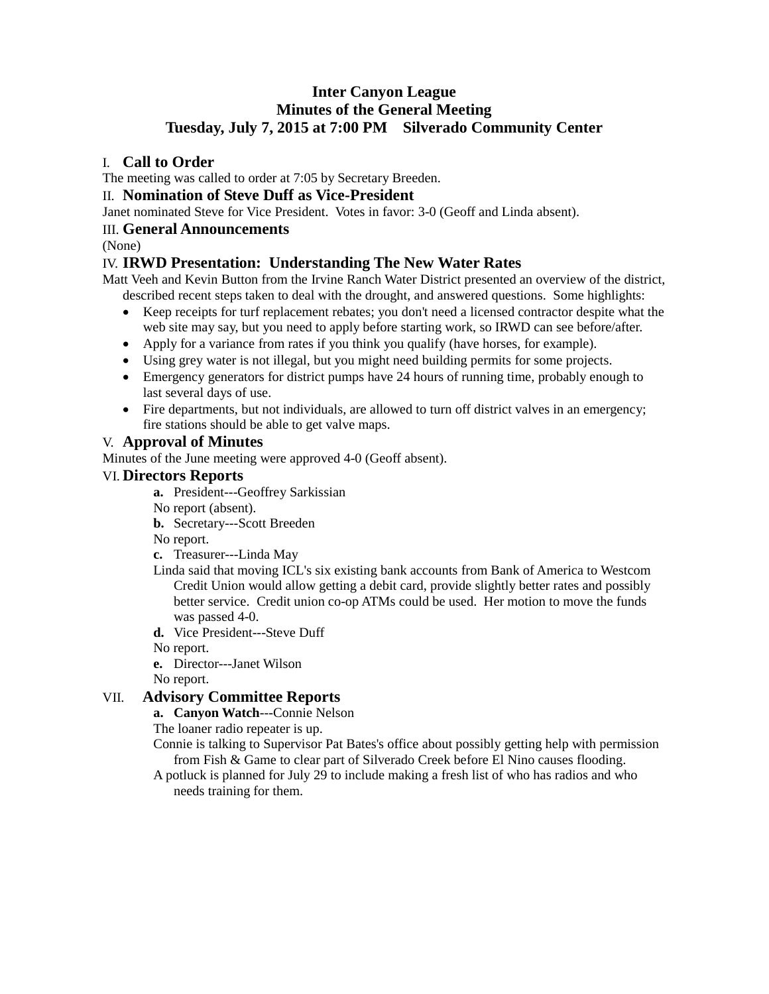# **Inter Canyon League Minutes of the General Meeting Tuesday, July 7, 2015 at 7:00 PM Silverado Community Center**

## I. **Call to Order**

The meeting was called to order at 7:05 by Secretary Breeden.

## II. **Nomination of Steve Duff as Vice-President**

Janet nominated Steve for Vice President. Votes in favor: 3-0 (Geoff and Linda absent).

### III. **General Announcements**

(None)

## IV. **IRWD Presentation: Understanding The New Water Rates**

Matt Veeh and Kevin Button from the Irvine Ranch Water District presented an overview of the district, described recent steps taken to deal with the drought, and answered questions. Some highlights:

- Keep receipts for turf replacement rebates; you don't need a licensed contractor despite what the web site may say, but you need to apply before starting work, so IRWD can see before/after.
- Apply for a variance from rates if you think you qualify (have horses, for example).
- Using grey water is not illegal, but you might need building permits for some projects.
- Emergency generators for district pumps have 24 hours of running time, probably enough to last several days of use.
- Fire departments, but not individuals, are allowed to turn off district valves in an emergency; fire stations should be able to get valve maps.

## V. **Approval of Minutes**

Minutes of the June meeting were approved 4-0 (Geoff absent).

### VI. **Directors Reports**

**a.** President---Geoffrey Sarkissian

No report (absent).

**b.** Secretary---Scott Breeden

No report.

- **c.** Treasurer---Linda May
- Linda said that moving ICL's six existing bank accounts from Bank of America to Westcom Credit Union would allow getting a debit card, provide slightly better rates and possibly better service. Credit union co-op ATMs could be used. Her motion to move the funds was passed 4-0.
- **d.** Vice President---Steve Duff

No report.

**e.** Director---Janet Wilson

No report.

### VII. **Advisory Committee Reports**

### **a. Canyon Watch**---Connie Nelson

The loaner radio repeater is up.

- Connie is talking to Supervisor Pat Bates's office about possibly getting help with permission from Fish & Game to clear part of Silverado Creek before El Nino causes flooding.
- A potluck is planned for July 29 to include making a fresh list of who has radios and who needs training for them.